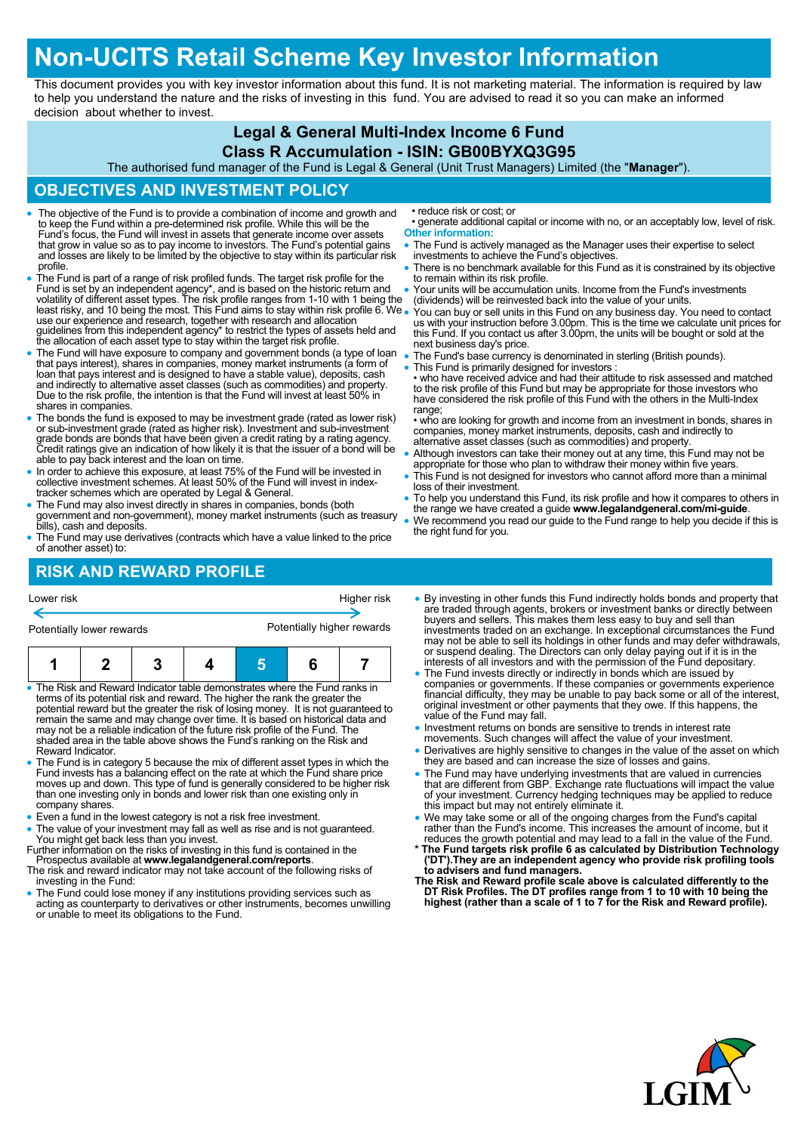## **Non-UCITS Retail Scheme Key Investor Information**

This document provides you with key investor information about this fund. It is not marketing material. The information is required by law to help you understand the nature and the risks of investing in this fund. You are advised to read it so you can make an informed decision about whether to invest.

### **Legal & General Multi-Index Income 6 Fund**

#### **Class R Accumulation - ISIN: GB00BYXQ3G95**

The authorised fund manager of the Fund is Legal & General (Unit Trust Managers) Limited (the "**Manager**").

#### **OBJECTIVES AND INVESTMENT POLICY**

- The objective of the Fund is to provide a combination of income and growth and to keep the Fund within a pre-determined risk profile. While this will be the Fund's focus, the Fund will invest in assets that generate income over assets that grow in value so as to pay income to investors. The Fund's potential gains and losses are likely to be limited by the objective to stay within its particular risk profile.
- The Fund is part of a range of risk profiled funds. The target risk profile for the Fund is set by an independent agency\*, and is based on the historic return and volatility of different asset types. The risk profile ranges from 1-10 with 1 being the least risky, and 10 being the most. This Fund aims to stay within risk profile 6. We use our experience and research, together with research and allocation guidelines from this independent agency\* to restrict the types of assets held and the allocation of each asset type to stay within the target risk profile.
- The Fund will have exposure to company and government bonds (a type of loan<br>that pays interest), shares in companies, money market instruments (a form of<br>loan that pays interest and is designed to have a stable value), d and indirectly to alternative asset classes (such as commodities) and property. Due to the risk profile, the intention is that the Fund will invest at least 50% in shares in companies.
- The bonds the fund is exposed to may be investment grade (rated as lower risk) or sub-investment grade (rated as higher risk). Investment and sub-investment grade bonds are bonds that have been given a credit rating by a able to pay back interest and the loan on time.
- In order to achieve this exposure, at least 75% of the Fund will be invested in collective investment schemes. At least 50% of the Fund will invest in indextracker schemes which are operated by Legal & General.
- The Fund may also invest directly in shares in companies, bonds (both government and non-government), money market instruments (such as treasury bills), cash and deposits.
- The Fund may use derivatives (contracts which have a value linked to the price of another asset) to:

## **RISK AND REWARD PROFILE**

• reduce risk or cost; or

- generate additional capital or income with no, or an acceptably low, level of risk. **Other information:**
- The Fund is actively managed as the Manager uses their expertise to select investments to achieve the Fund's objectives.
- There is no benchmark available for this Fund as it is constrained by its objective to remain within its risk profile.
- Your units will be accumulation units. Income from the Fund's investments (dividends) will be reinvested back into the value of your units.
- You can buy or sell units in this Fund on any business day. You need to contact us with your instruction before 3.00pm. This is the time we calculate unit prices for this Fund. If you contact us after 3.00pm, the units will be bought or sold at the next business day's price.
- The Fund's base currency is denominated in sterling (British pounds).
- This Fund is primarily designed for investors :

• who have received advice and had their attitude to risk assessed and matched to the risk profile of this Fund but may be appropriate for those investors who have considered the risk profile of this Fund with the others in the Multi-Index range:

• who are looking for growth and income from an investment in bonds, shares in companies, money market instruments, deposits, cash and indirectly to alternative asset classes (such as commodities) and property.

- Although investors can take their money out at any time, this Fund may not be appropriate for those who plan to withdraw their money within five years
- This Fund is not designed for investors who cannot afford more than a minimal loss of their investment.
- To help you understand this Fund, its risk profile and how it compares to others in the range we have created a guide **www.legalandgeneral.com/mi-guide**.
- We recommend you read our guide to the Fund range to help you decide if this is the right fund for you.

# Potentially lower rewards **Potentially higher rewards 1 2 3 4 5 6 7**

Lower risk Higher risk

- The Risk and Reward Indicator table demonstrates where the Fund ranks in terms of its potential risk and reward. The higher the rank the greater the potential reward but the greater the risk of losing money. It is not guaranteed to remain the same and may change over time. It is based on historical data and may not be a reliable indication of the future risk profile of the Fund. The shaded area in the table above shows the Fund's ranking on the Risk and Reward Indicator.
- The Fund is in category 5 because the mix of different asset types in which the Fund invests has a balancing effect on the rate at which the Fund share price moves up and down. This type of fund is generally considered to be higher risk than one investing only in bonds and lower risk than one existing only in company shares.
- Even a fund in the lowest category is not a risk free investment.
- The value of your investment may fall as well as rise and is not guaranteed. You might get back less than you invest. Further information on the risks of investing in this fund is contained in the
- Prospectus available at **www.legalandgeneral.com/reports**.
- The risk and reward indicator may not take account of the following risks of investing in the Fund:
- The Fund could lose money if any institutions providing services such as acting as counterparty to derivatives or other instruments, becomes unwilling or unable to meet its obligations to the Fund.
- By investing in other funds this Fund indirectly holds bonds and property that are traded through agents, brokers or investment banks or directly between buyers and sellers. This makes them less easy to buy and sell than investments traded on an exchange. In exceptional circumstances the Fund may not be able to sell its holdings in other funds and may defer withdrawals, or suspend dealing. The Directors can only delay paying out if it is in the interests of all investors and with the permission of the Fund depositary.
- The Fund invests directly or indirectly in bonds which are issued by companies or governments. If these companies or governments experience financial difficulty, they may be unable to pay back some or all of the interest, original investment or other payments that they owe. If this happens, the value of the Fund may fall.
- Investment returns on bonds are sensitive to trends in interest rate
- movements. Such changes will affect the value of your investment. Derivatives are highly sensitive to changes in the value of the asset on which they are based and can increase the size of losses and gains.
- The Fund may have underlying investments that are valued in currencies that are different from GBP. Exchange rate fluctuations will impact the value of your investment. Currency hedging techniques may be applied to reduce this impact but may not entirely eliminate it.
- We may take some or all of the ongoing charges from the Fund's capital<br>rather than the Fund's income. This increases the amount of income, but it<br>reduces the growth potential and may lead to a fall in the value of the Fu
- **\* The Fund targets risk profile 6 as calculated by Distribution Technology ('DT').They are an independent agency who provide risk profiling tools to advisers and fund managers. The Risk and Reward profile scale above is calculated differently to the**
- **DT Risk Profiles. The DT profiles range from 1 to 10 with 10 being the highest (rather than a scale of 1 to 7 for the Risk and Reward profile).**